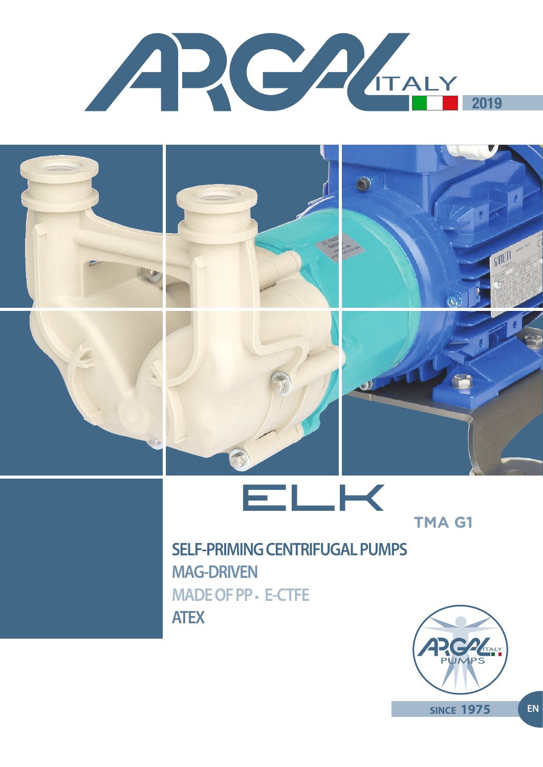











# **SELF-PRIMING CENTRIFUGAL PUMPS MAG-DRIVEN MADE OF PP • E-CTFE ATEX**

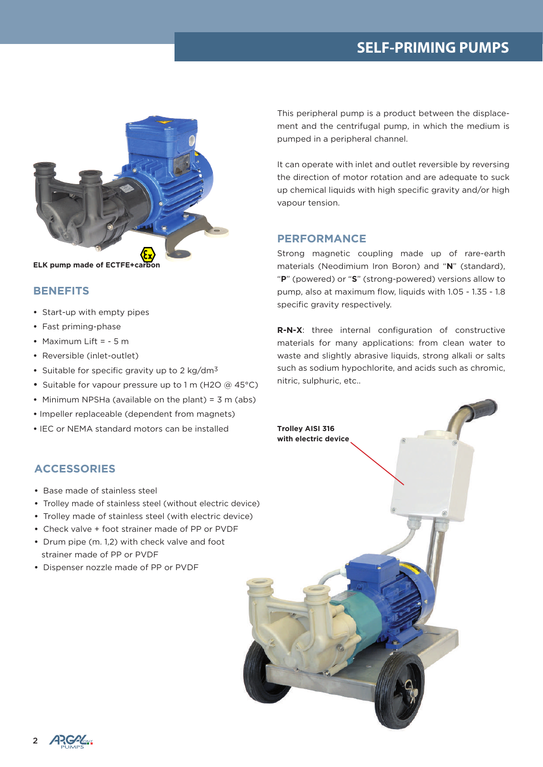# **SELF-PRIMING PUMPS**



## **BENEFITS**

- **•** Start-up with empty pipes
- **•** Fast priming-phase
- **•** Maximum Lift = 5 m
- **•** Reversible (inlet-outlet)
- **•** Suitable for specific gravity up to 2 kg/dm3
- **•** Suitable for vapour pressure up to 1 m (H2O @ 45°C)
- **•** Minimum NPSHa (available on the plant) = 3 m (abs)
- **•** Impeller replaceable (dependent from magnets)
- **•** IEC or NEMA standard motors can be installed

## **ACCESSORIES**

- Base made of stainless steel
- Trolley made of stainless steel (without electric device)
- Trolley made of stainless steel (with electric device)
- Check valve + foot strainer made of PP or PVDF
- Drum pipe (m. 1,2) with check valve and foot strainer made of PP or PVDF
- Dispenser nozzle made of PP or PVDF

This peripheral pump is a product between the displacement and the centrifugal pump, in which the medium is pumped in a peripheral channel.

It can operate with inlet and outlet reversible by reversing the direction of motor rotation and are adequate to suck up chemical liquids with high specific gravity and/or high vapour tension.

#### **PERFORMANCE**

Strong magnetic coupling made up of rare-earth materials (Neodimium Iron Boron) and "**N**" (standard), "**P**" (powered) or "**S**" (strong-powered) versions allow to pump, also at maximum flow, liquids with 1.05 - 1.35 - 1.8 specific gravity respectively.

**R-N-X**: three internal configuration of constructive materials for many applications: from clean water to waste and slightly abrasive liquids, strong alkali or salts such as sodium hypochlorite, and acids such as chromic, nitric, sulphuric, etc..



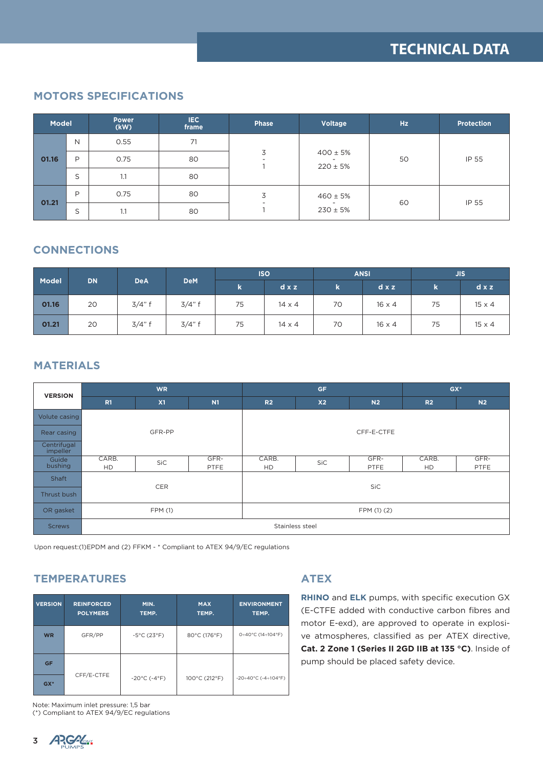# **MOTORS SPECIFICATIONS**

| <b>Model</b> |   | <b>Power</b><br>(kW) | IEC.<br>frame | <b>Phase</b>                  | Voltage                      | <b>Hz</b> | <b>Protection</b> |
|--------------|---|----------------------|---------------|-------------------------------|------------------------------|-----------|-------------------|
|              | N | 0.55                 | 71            |                               | $400 \pm 5%$<br>$220 \pm 5%$ | 50        | IP 55             |
| 01.16        | P | 0.75                 | 80            | 3<br>$\overline{\phantom{a}}$ |                              |           |                   |
|              | S | 1.1                  | 80            |                               |                              |           |                   |
| 01.21        | P | 0.75                 | 80            | 3<br>$\overline{\phantom{0}}$ | $460 \pm 5%$<br>$230 \pm 5%$ | 60        | IP 55             |
|              | S | 1.1                  | 80            |                               |                              |           |                   |

# **CONNECTIONS**

|       |           | <b>DeA</b> | <b>DeM</b> | <b>ISO</b> |               | <b>ANSI</b> |               | <b>JIS</b> |               |
|-------|-----------|------------|------------|------------|---------------|-------------|---------------|------------|---------------|
| Model | <b>DN</b> |            |            | $\bf k$    | $dx$ z        | k           | $d \times z$  | k.         | $dx$ z        |
| 01.16 | 20        | 3/4"f      | 3/4"f      | 75         | $14 \times 4$ | 70          | $16 \times 4$ | 75         | $15 \times 4$ |
| 01.21 | 20        | 3/4"f      | 3/4"f      | 75         | $14 \times 4$ | 70          | $16 \times 4$ | 75         | $15 \times 4$ |

# **MATERIALS**

| <b>VERSION</b>          | <b>WR</b>          |            |              | <b>GF</b>          |                |                | $GX*$              |                |  |
|-------------------------|--------------------|------------|--------------|--------------------|----------------|----------------|--------------------|----------------|--|
|                         | R1                 | X1         | N1           | R <sub>2</sub>     | X <sub>2</sub> | N <sub>2</sub> | R <sub>2</sub>     | N <sub>2</sub> |  |
| Volute casing           |                    |            |              |                    |                |                |                    |                |  |
| Rear casing             |                    | GFR-PP     |              | CFF-E-CTFE         |                |                |                    |                |  |
| Centrifugal<br>impeller |                    |            |              |                    |                |                |                    |                |  |
| Guide<br>bushing        | CARB.<br><b>HD</b> | <b>SiC</b> | GFR-<br>PTFE | CARB.<br><b>HD</b> | SiC            | GFR-<br>PTFE   | CARB.<br><b>HD</b> | GFR-<br>PTFE   |  |
| Shaft                   |                    |            |              | SiC                |                |                |                    |                |  |
| Thrust bush             |                    | CER        |              |                    |                |                |                    |                |  |
| OR gasket               | FPM (1)            |            |              | FPM (1) (2)        |                |                |                    |                |  |
| <b>Screws</b>           | Stainless steel    |            |              |                    |                |                |                    |                |  |

Upon request:(1)EPDM and (2) FFKM - \* Compliant to ATEX 94/9/EC regulations

# **TEMPERATURES**

| <b>VERSION</b> | <b>REINFORCED</b><br><b>POLYMERS</b> | MIN.<br>TEMP.                     | <b>MAX</b><br>TEMP. | <b>ENVIRONMENT</b><br>TEMP. |
|----------------|--------------------------------------|-----------------------------------|---------------------|-----------------------------|
| <b>WR</b>      | GFR/PP                               | $-5^{\circ}$ C (23°F)             | 80°C (176°F)        | 0÷40°C (14÷104°F)           |
| <b>GF</b>      |                                      |                                   |                     |                             |
| $GX*$          | CFF/E-CTFE                           | $-20^{\circ}$ C ( $-4^{\circ}$ F) | 100°C (212°F)       | $-20+40°C$ ( $-4+104°F$ )   |

Note: Maximum inlet pressure: 1,5 bar (\*) Compliant to ATEX 94/9/EC regulations

# **ATEX**

**RHINO** and **ELK** pumps, with specific execution GX (E-CTFE added with conductive carbon fibres and motor E-exd), are approved to operate in explosive atmospheres, classified as per ATEX directive, **Cat. 2 Zone 1 (Series II 2GD IIB at 135 °C)**. Inside of pump should be placed safety device.

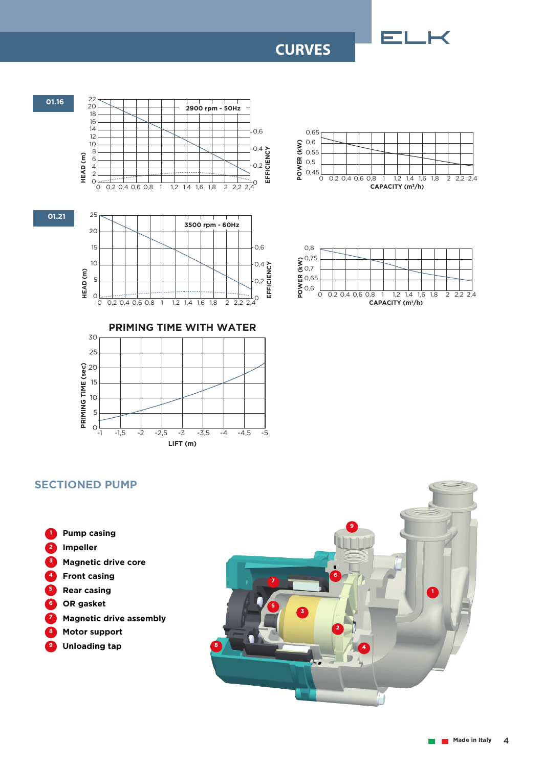# **CURVES**





## **SECTIONED PUMP**

**LIFT (m)** -1 -1,5 -2 -2,5 -3 -3,5 -4 -4,5 -5

- **8 6 7 4 Front casing 5 Rear casing 3 1 Pump casing 2 Impeller Magnetic drive core OR gasket Magnetic drive assembly Motor support**
- **9 Unloading tap**

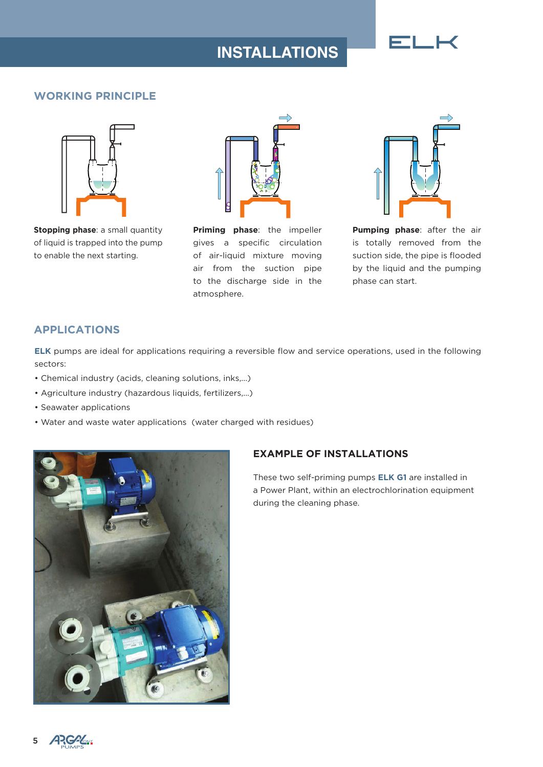# **INSTALLATIONS** ELK

# **WORKING PRINCIPLE**



**Stopping phase: a small quantity** of liquid is trapped into the pump to enable the next starting.



**Priming phase**: the impeller gives a specific circulation of air-liquid mixture moving air from the suction pipe to the discharge side in the atmosphere.



**Pumping phase**: after the air is totally removed from the suction side, the pipe is flooded by the liquid and the pumping phase can start.

# **APPLICATIONS**

**ELK** pumps are ideal for applications requiring a reversible flow and service operations, used in the following sectors:

- Chemical industry (acids, cleaning solutions, inks,...)
- Agriculture industry (hazardous liquids, fertilizers,...)
- Seawater applications
- Water and waste water applications (water charged with residues)



# **EXAMPLE OF INSTALLATIONS**

These two self-priming pumps **ELK G1** are installed in a Power Plant, within an electrochlorination equipment during the cleaning phase.